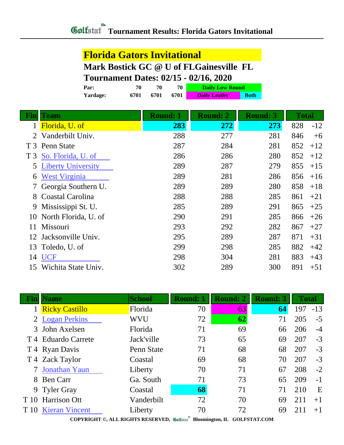## **Florida Gators Invitational**

**Mark Bostick GC @ U of FLGainesville FL**

## **Tournament Dates: 02/15 - 02/16, 2020**

| Par:     | 70   | 70   | 70   | <b>Daily Low Round</b> |             |
|----------|------|------|------|------------------------|-------------|
| Yardage: | 6701 | 6701 | 6701 | <b>Daily Leader</b>    | <b>Both</b> |

| Fin            | <b>Team</b>               | <b>Round: 1</b> | <b>Round: 2</b> | <b>Round: 3</b> | <b>Total</b> |
|----------------|---------------------------|-----------------|-----------------|-----------------|--------------|
| 1              | Florida, U. of            | 283             | 272             | 273             | 828<br>$-12$ |
| 2              | Vanderbilt Univ.          | 288             | 277             | 281             | 846<br>$+6$  |
|                | T 3 Penn State            | 287             | 284             | 281             | 852<br>$+12$ |
| T <sub>3</sub> | So. Florida, U. of        | 286             | 286             | 280             | 852<br>$+12$ |
| 5              | <b>Liberty University</b> | 289             | 287             | 279             | 855<br>$+15$ |
| 6              | <b>West Virginia</b>      | 289             | 281             | 286             | 856<br>$+16$ |
|                | Georgia Southern U.       | 289             | 289             | 280             | 858<br>$+18$ |
| 8              | Coastal Carolina          | 288             | 288             | 285             | 861<br>$+21$ |
| 9              | Mississippi St. U.        | 285             | 289             | 291             | 865<br>$+25$ |
| 10             | North Florida, U. of      | 290             | 291             | 285             | 866<br>$+26$ |
| 11             | Missouri                  | 293             | 292             | 282             | 867<br>$+27$ |
| 12             | Jacksonville Univ.        | 295             | 289             | 287             | 871<br>$+31$ |
| 13             | Toledo, U. of             | 299             | 298             | 285             | 882<br>$+42$ |
| 14             | <b>UCF</b>                | 298             | 304             | 281             | 883<br>$+43$ |
| 15             | Wichita State Univ.       | 302             | 289             | 300             | 891<br>$+51$ |

|      | <b>Name</b>           | <b>School</b> | <b>Round: 1</b> | <b>Round: 2</b> | <b>Round: 3</b> | <b>Total</b> |       |
|------|-----------------------|---------------|-----------------|-----------------|-----------------|--------------|-------|
|      | <b>Ricky Castillo</b> | Florida       | 70              | 63              | 64              | 197          | $-13$ |
| 2    | <b>Logan Perkins</b>  | <b>WVU</b>    | 72              | 62              | 71              | 205          | $-5$  |
|      | 3 John Axelsen        | Florida       | 71              | 69              | 66              | 206          | $-4$  |
|      | T 4 Eduardo Carrete   | Jack'ville    | 73              | 65              | 69              | 207          | $-3$  |
|      | T 4 Ryan Davis        | Penn State    | 71              | 68              | 68              | 207          | $-3$  |
|      | T 4 Zack Taylor       | Coastal       | 69              | 68              | 70              | 207          | $-3$  |
|      | Jonathan Yaun         | Liberty       | 70              | 71              | 67              | 208          | $-2$  |
| 8    | <b>Ben Carr</b>       | Ga. South     | 71              | 73              | 65              | 209          | $-1$  |
|      | 9 Tyler Gray          | Coastal       | 68              | 71              | 71              | 210          | E     |
| T 10 | <b>Harrison Ott</b>   | Vanderbilt    | 72              | 70              | 69              | 211          | $+1$  |
| T 10 | <b>Kieran Vincent</b> | Liberty       | 70              | 72              | 69              | 211          | $+1$  |
|      |                       |               | $\mathbf{a}$    |                 |                 |              |       |

**COPYRIGHT ©, ALL RIGHTS RESERVED, Bloomington, IL GOLFSTAT.COM**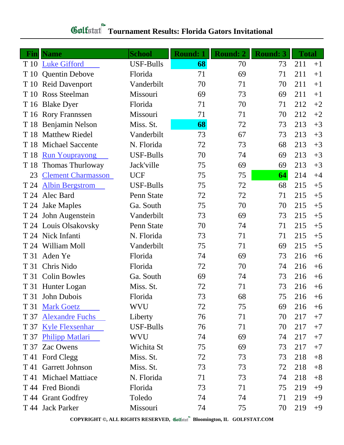| <b>Gulfstan Tournament Results: Florida Gators Invitational</b> |
|-----------------------------------------------------------------|
|                                                                 |

|      | <b>Fin</b>   Name         | <b>School</b>    | <b>Round: 1</b> | <b>Round: 2</b> | <b>Round: 3</b> | <b>Total</b> |      |
|------|---------------------------|------------------|-----------------|-----------------|-----------------|--------------|------|
| T 10 | <b>Luke Gifford</b>       | <b>USF-Bulls</b> | 68              | 70              | 73              | 211          | $+1$ |
| T 10 | <b>Quentin Debove</b>     | Florida          | 71              | 69              | 71              | 211          | $+1$ |
| T 10 | <b>Reid Davenport</b>     | Vanderbilt       | 70              | 71              | 70              | 211          | $+1$ |
| T 10 | Ross Steelman             | Missouri         | 69              | 73              | 69              | 211          | $+1$ |
|      | T 16 Blake Dyer           | Florida          | 71              | 70              | 71              | 212          | $+2$ |
|      | T 16 Rory Frannssen       | Missouri         | 71              | 71              | 70              | 212          | $+2$ |
| T 18 | Benjamin Nelson           | Miss. St.        | 68              | 72              | 73              | 213          | $+3$ |
| T 18 | <b>Matthew Riedel</b>     | Vanderbilt       | 73              | 67              | 73              | 213          | $+3$ |
| T 18 | <b>Michael Saccente</b>   | N. Florida       | 72              | 73              | 68              | 213          | $+3$ |
| T 18 | <b>Run Youprayong</b>     | <b>USF-Bulls</b> | 70              | 74              | 69              | 213          | $+3$ |
| T 18 | Thomas Thurloway          | Jack'ville       | 75              | 69              | 69              | 213          | $+3$ |
| 23   | <b>Clement Charmasson</b> | <b>UCF</b>       | 75              | 75              | 64              | 214          | $+4$ |
| T 24 | <b>Albin Bergstrom</b>    | <b>USF-Bulls</b> | 75              | 72              | 68              | 215          | $+5$ |
| T 24 | Alec Bard                 | Penn State       | 72              | 72              | 71              | 215          | $+5$ |
|      | T 24 Jake Maples          | Ga. South        | 75              | 70              | 70              | 215          | $+5$ |
|      | T 24 John Augenstein      | Vanderbilt       | 73              | 69              | 73              | 215          | $+5$ |
|      | T 24 Louis Olsakovsky     | Penn State       | 70              | 74              | 71              | 215          | $+5$ |
|      | T 24 Nick Infanti         | N. Florida       | 73              | 71              | 71              | 215          | $+5$ |
|      | T 24 William Moll         | Vanderbilt       | 75              | 71              | 69              | 215          | $+5$ |
| T 31 | Aden Ye                   | Florida          | 74              | 69              | 73              | 216          | $+6$ |
| T 31 | Chris Nido                | Florida          | 72              | 70              | 74              | 216          | $+6$ |
| T 31 | <b>Colin Bowles</b>       | Ga. South        | 69              | 74              | 73              | 216          | $+6$ |
|      | T 31 Hunter Logan         | Miss. St.        | 72              | 71              | 73              | 216          | $+6$ |
|      | T 31 John Dubois          | Florida          | 73              | 68              | 75              | 216          | $+6$ |
| T 31 | <b>Mark Goetz</b>         | WVU              | 72              | 75              | 69              | 216          | $+6$ |
| T 37 | <b>Alexandre Fuchs</b>    | Liberty          | 76              | 71              | 70              | 217          | $+7$ |
| T 37 | <b>Kyle Flexsenhar</b>    | <b>USF-Bulls</b> | 76              | 71              | 70              | 217          | $+7$ |
|      | T 37 Philipp Matlari      | <b>WVU</b>       | 74              | 69              | 74              | 217          | $+7$ |
| T 37 | Zac Owens                 | Wichita St       | 75              | 69              | 73              | 217          | $+7$ |
|      | T 41 Ford Clegg           | Miss. St.        | 72              | 73              | 73              | 218          | $+8$ |
|      | T 41 Garrett Johnson      | Miss. St.        | 73              | 73              | 72              | 218          | $+8$ |
|      | T 41 Michael Mattiace     | N. Florida       | 71              | 73              | 74              | 218          | $+8$ |
|      | T 44 Fred Biondi          | Florida          | 73              | 71              | 75              | 219          | $+9$ |
|      | T 44 Grant Godfrey        | Toledo           | 74              | 74              | 71              | 219          | $+9$ |
|      | T 44 Jack Parker          | Missouri         | 74              | 75              | 70              | 219          | $+9$ |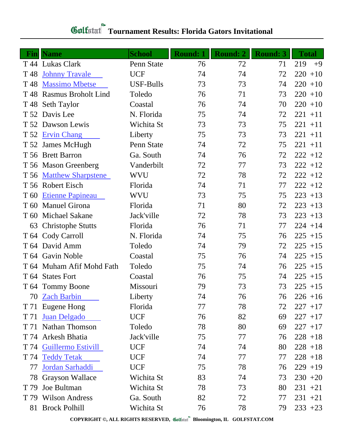## **Gulfatat** Tournament Results: Florida Gators Invitational

| Fin             | <b>Name</b>                | <b>School</b> | <b>Round: 1</b> | <b>Round: 2</b> | <b>Round: 3</b> | <b>Total</b> |
|-----------------|----------------------------|---------------|-----------------|-----------------|-----------------|--------------|
|                 | T 44 Lukas Clark           | Penn State    | 76              | 72              | 71              | 219<br>$+9$  |
| T <sub>48</sub> | <b>Johnny Travale</b>      | <b>UCF</b>    | 74              | 74              | 72              | $220 + 10$   |
| T <sub>48</sub> | <b>Massimo Mbetse</b>      | USF-Bulls     | 73              | 73              | 74              | $220 + 10$   |
| T 48            | <b>Rasmus Broholt Lind</b> | Toledo        | 76              | 71              | 73              | $220 + 10$   |
| T 48            | <b>Seth Taylor</b>         | Coastal       | 76              | 74              | 70              | $220 + 10$   |
| T 52            | Davis Lee                  | N. Florida    | 75              | 74              | 72              | $221 + 11$   |
|                 | T 52 Dawson Lewis          | Wichita St    | 73              | 73              | 75              | $221 + 11$   |
| T 52            | <b>Ervin Chang</b>         | Liberty       | 75              | 73              | 73              | $221 + 11$   |
|                 | T 52 James McHugh          | Penn State    | 74              | 72              | 75              | $221 + 11$   |
|                 | T 56 Brett Barron          | Ga. South     | 74              | 76              | 72              | $222 + 12$   |
|                 | T 56 Mason Greenberg       | Vanderbilt    | 72              | 77              | 73              | $222 + 12$   |
| T 56            | <b>Matthew Sharpstene</b>  | <b>WVU</b>    | 72              | 78              | 72              | $222 + 12$   |
|                 | T 56 Robert Eisch          | Florida       | 74              | 71              | 77              | $222 + 12$   |
| T 60            | <b>Etienne Papineau</b>    | WVU           | 73              | 75              | 75              | $223 + 13$   |
| T 60            | <b>Manuel Girona</b>       | Florida       | 71              | 80              | 72              | $223 + 13$   |
| T 60            | <b>Michael Sakane</b>      | Jack'ville    | 72              | 78              | 73              | $223 + 13$   |
| 63              | <b>Christophe Stutts</b>   | Florida       | 76              | 71              | 77              | $224 + 14$   |
|                 | T 64 Cody Carroll          | N. Florida    | 74              | 75              | 76              | $225 + 15$   |
|                 | T 64 David Amm             | Toledo        | 74              | 79              | 72              | $225 + 15$   |
|                 | T 64 Gavin Noble           | Coastal       | 75              | 76              | 74              | $225 + 15$   |
|                 | T 64 Muham Afif Mohd Fath  | Toledo        | 75              | 74              | 76              | $225 + 15$   |
|                 | T 64 States Fort           | Coastal       | 76              | 75              | 74              | $225 + 15$   |
|                 | T 64 Tommy Boone           | Missouri      | 79              | 73              | 73              | $225 + 15$   |
|                 | 70 Zach Barbin             | Liberty       | 74              | 76              | 76              | $226 + 16$   |
| T 71            | Eugene Hong                | Florida       | 77              | 78              | 72              | $227 + 17$   |
| T 71            | <b>Juan Delgado</b>        | <b>UCF</b>    | 76              | 82              | 69              | $227 + 17$   |
| T 71            | <b>Nathan Thomson</b>      | Toledo        | 78              | 80              | 69              | $227 + 17$   |
|                 | T 74 Arkesh Bhatia         | Jack'ville    | 75              | 77              | 76              | $228 + 18$   |
| T 74            | Guillermo Estivill         | <b>UCF</b>    | 74              | 74              | 80              | $228 + 18$   |
| T 74            | <b>Teddy Tetak</b>         | <b>UCF</b>    | 74              | 77              | 77              | $228 + 18$   |
| 77              | Jordan Sarhaddi            | <b>UCF</b>    | 75              | 78              | 76              | $229 + 19$   |
| 78              | <b>Grayson Wallace</b>     | Wichita St    | 83              | 74              | 73              | $230 + 20$   |
| T 79            | Joe Bultman                | Wichita St    | 78              | 73              | 80              | $231 + 21$   |
| T 79            | <b>Wilson Andress</b>      | Ga. South     | 82              | 72              | 77              | $231 + 21$   |
| 81              | <b>Brock Polhill</b>       | Wichita St    | 76              | 78              | 79              | $233 + 23$   |